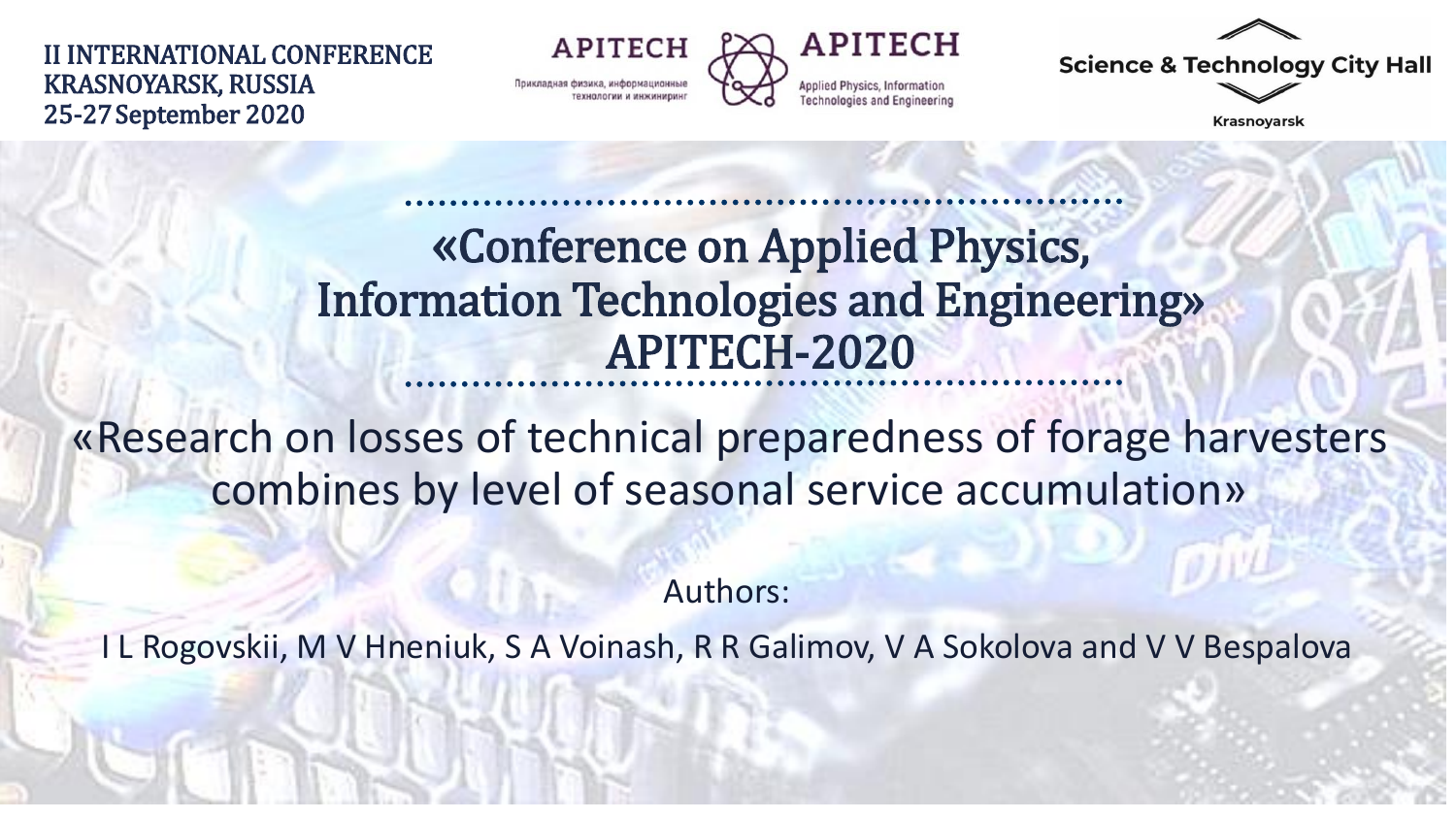II INTERNATIONAL CONFERENCE KRASNOYARSK, RUSSIA 25-27September 2020

**APITECH** Прикладная физика, информационны



**Science & Technology City Hall** 

Krasnoyarsk

### «Conference on Applied Physics, Information Technologies and Engineering» APITECH-2020

«Research on losses of technical preparedness of forage harvesters combines by level of seasonal service accumulation»

Authors:

I L Rogovskii, M V Hneniuk, S A Voinash, R R Galimov, V A Sokolova and V V Bespalova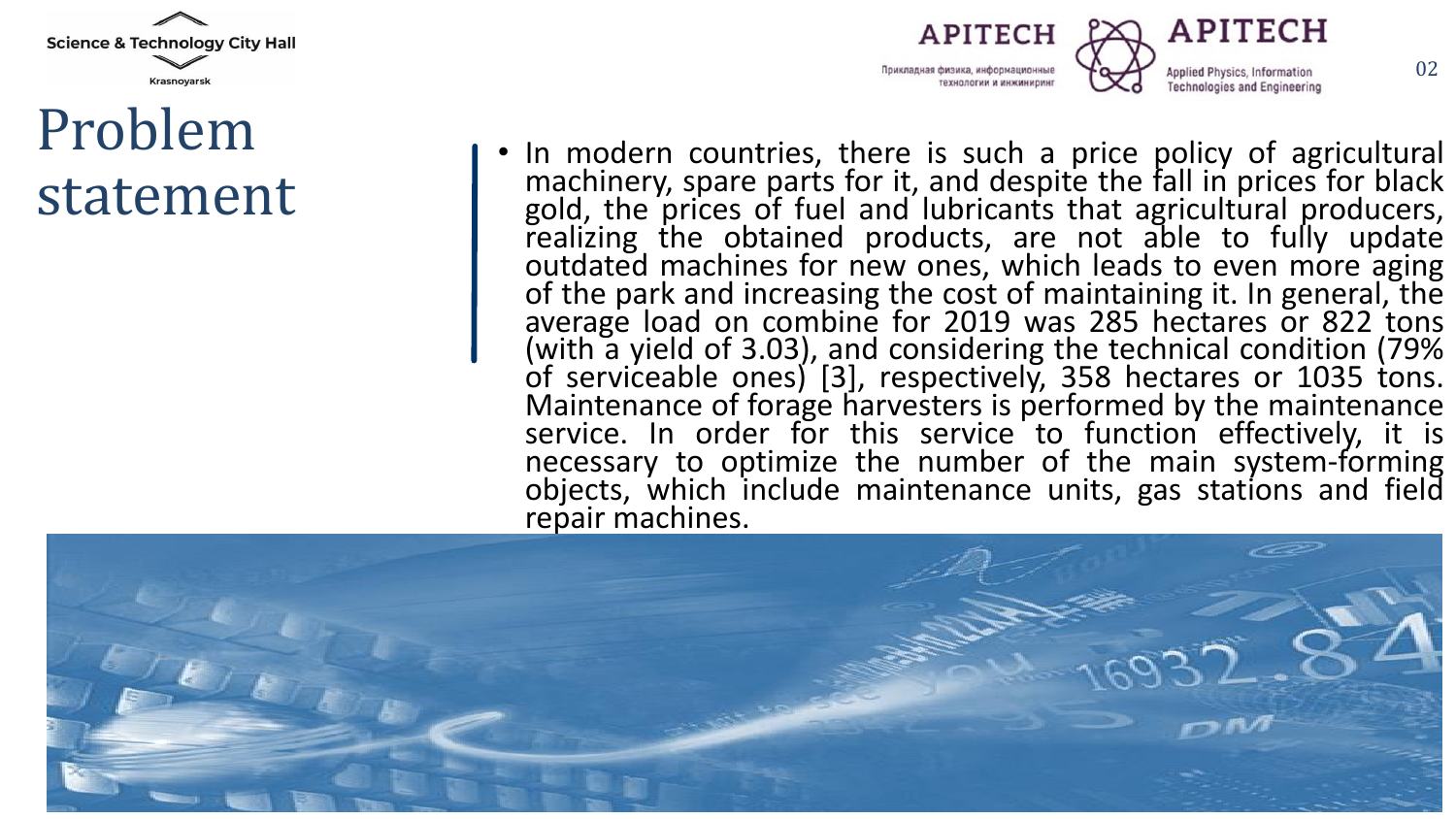

### Problem statement



• In modern countries, there is such a price policy of agricultural machinery, spare parts for it, and despite the fall in prices for black gold, the prices of fuel and lubricants that agricultural producers, realizing the obtained products, are not able to fully update outdated machines for new ones, which leads to even more aging of the park and increasing the cost of maintaining it. In general, the average load on combine for 2019 was 285 hectares or 822 tons (with a yield of 3.03), and considering the technical condition (79% of serviceable ones) [3], respectively, 358 hectares or 1035 tons. Maintenance of forage harvesters is performed by the maintenance service. In order for this service to function effectively, it is necessary to optimize the number of the main system-forming objects, which include maintenance units, gas stations and field repair machines.

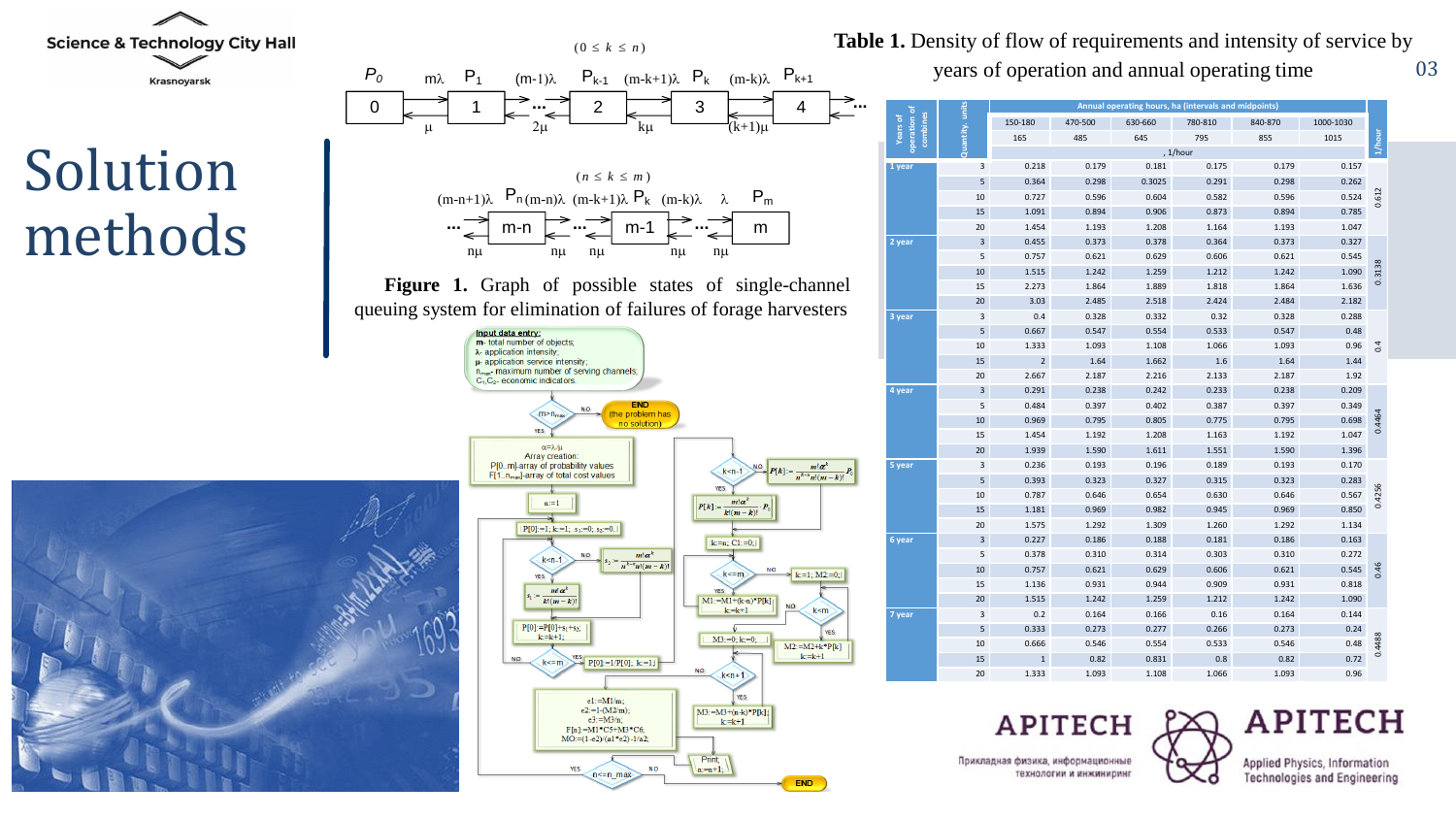

# Solution methods





03 **Table 1.** Density of flow of requirements and intensity of service by years of operation and annual operating time

| ㅎ<br>combines<br>Years of<br>operation | Quantity.unit | Annual operating hours, ha (intervals and midpoints) |         |         |         |         |           |        |
|----------------------------------------|---------------|------------------------------------------------------|---------|---------|---------|---------|-----------|--------|
|                                        |               | 150-180                                              | 470-500 | 630-660 | 780-810 | 840-870 | 1000-1030 | 1/hour |
|                                        |               | 165                                                  | 485     | 645     | 795     | 855     | 1015      |        |
|                                        |               | , 1/hour                                             |         |         |         |         |           |        |
| 1 year                                 | 3             | 0.218                                                | 0.179   | 0.181   | 0.175   | 0.179   | 0.157     |        |
|                                        | 5             | 0.364                                                | 0.298   | 0.3025  | 0.291   | 0.298   | 0.262     |        |
|                                        | 10            | 0.727                                                | 0.596   | 0.604   | 0.582   | 0.596   | 0.524     | 0.612  |
|                                        | 15            | 1.091                                                | 0.894   | 0.906   | 0.873   | 0.894   | 0.785     |        |
|                                        | 20            | 1.454                                                | 1.193   | 1.208   | 1.164   | 1.193   | 1.047     |        |
| 2 year                                 | 3             | 0.455                                                | 0.373   | 0.378   | 0.364   | 0.373   | 0.327     | 0.3138 |
|                                        | 5             | 0.757                                                | 0.621   | 0.629   | 0.606   | 0.621   | 0.545     |        |
|                                        | 10            | 1.515                                                | 1.242   | 1.259   | 1.212   | 1.242   | 1.090     |        |
|                                        | 15            | 2.273                                                | 1.864   | 1.889   | 1.818   | 1.864   | 1.636     |        |
|                                        | 20            | 3.03                                                 | 2.485   | 2.518   | 2.424   | 2.484   | 2.182     |        |
| 3 year                                 | 3             | 0.4                                                  | 0.328   | 0.332   | 0.32    | 0.328   | 0.288     | 0.4    |
|                                        | 5             | 0.667                                                | 0.547   | 0.554   | 0.533   | 0.547   | 0.48      |        |
|                                        | 10            | 1.333                                                | 1.093   | 1.108   | 1.066   | 1.093   | 0.96      |        |
|                                        | 15            | $\overline{2}$                                       | 1.64    | 1.662   | 1.6     | 1.64    | 1.44      |        |
|                                        | 20            | 2.667                                                | 2.187   | 2.216   | 2.133   | 2.187   | 1.92      |        |
| 4 year                                 | 3             | 0.291                                                | 0.238   | 0.242   | 0.233   | 0.238   | 0.209     | 0.4464 |
|                                        | 5             | 0.484                                                | 0.397   | 0.402   | 0.387   | 0.397   | 0.349     |        |
|                                        | 10            | 0.969                                                | 0.795   | 0.805   | 0.775   | 0.795   | 0.698     |        |
|                                        | 15            | 1.454                                                | 1.192   | 1.208   | 1.163   | 1.192   | 1.047     |        |
|                                        | 20            | 1.939                                                | 1.590   | 1.611   | 1.551   | 1.590   | 1.396     |        |
| 5 year                                 | 3             | 0.236                                                | 0.193   | 0.196   | 0.189   | 0.193   | 0.170     | 0.4256 |
|                                        | 5             | 0.393                                                | 0.323   | 0.327   | 0.315   | 0.323   | 0.283     |        |
|                                        | 10            | 0.787                                                | 0.646   | 0.654   | 0.630   | 0.646   | 0.567     |        |
|                                        | 15            | 1.181                                                | 0.969   | 0.982   | 0.945   | 0.969   | 0.850     |        |
|                                        | 20            | 1.575                                                | 1.292   | 1.309   | 1.260   | 1.292   | 1.134     |        |
| 6 year                                 | 3             | 0.227                                                | 0.186   | 0.188   | 0.181   | 0.186   | 0.163     | 0.46   |
|                                        | 5             | 0.378                                                | 0.310   | 0.314   | 0.303   | 0.310   | 0.272     |        |
|                                        | 10            | 0.757                                                | 0.621   | 0.629   | 0.606   | 0.621   | 0.545     |        |
|                                        | 15            | 1.136                                                | 0.931   | 0.944   | 0.909   | 0.931   | 0.818     |        |
|                                        | 20            | 1.515                                                | 1.242   | 1.259   | 1.212   | 1.242   | 1.090     |        |
| 7 year                                 | 3             | 0.2                                                  | 0.164   | 0.166   | 0.16    | 0.164   | 0.144     | 0.4488 |
|                                        | 5             | 0.333                                                | 0.273   | 0.277   | 0.266   | 0.273   | 0.24      |        |
|                                        | 10            | 0.666                                                | 0.546   | 0.554   | 0.533   | 0.546   | 0.48      |        |
|                                        | 15            | 1                                                    | 0.82    | 0.831   | 0.8     | 0.82    | 0.72      |        |
|                                        | 20            | 1.333                                                | 1.093   | 1.108   | 1.066   | 1.093   | 0.96      |        |

**APITECH** 

Applied Physics, Information **Technologies and Engineering**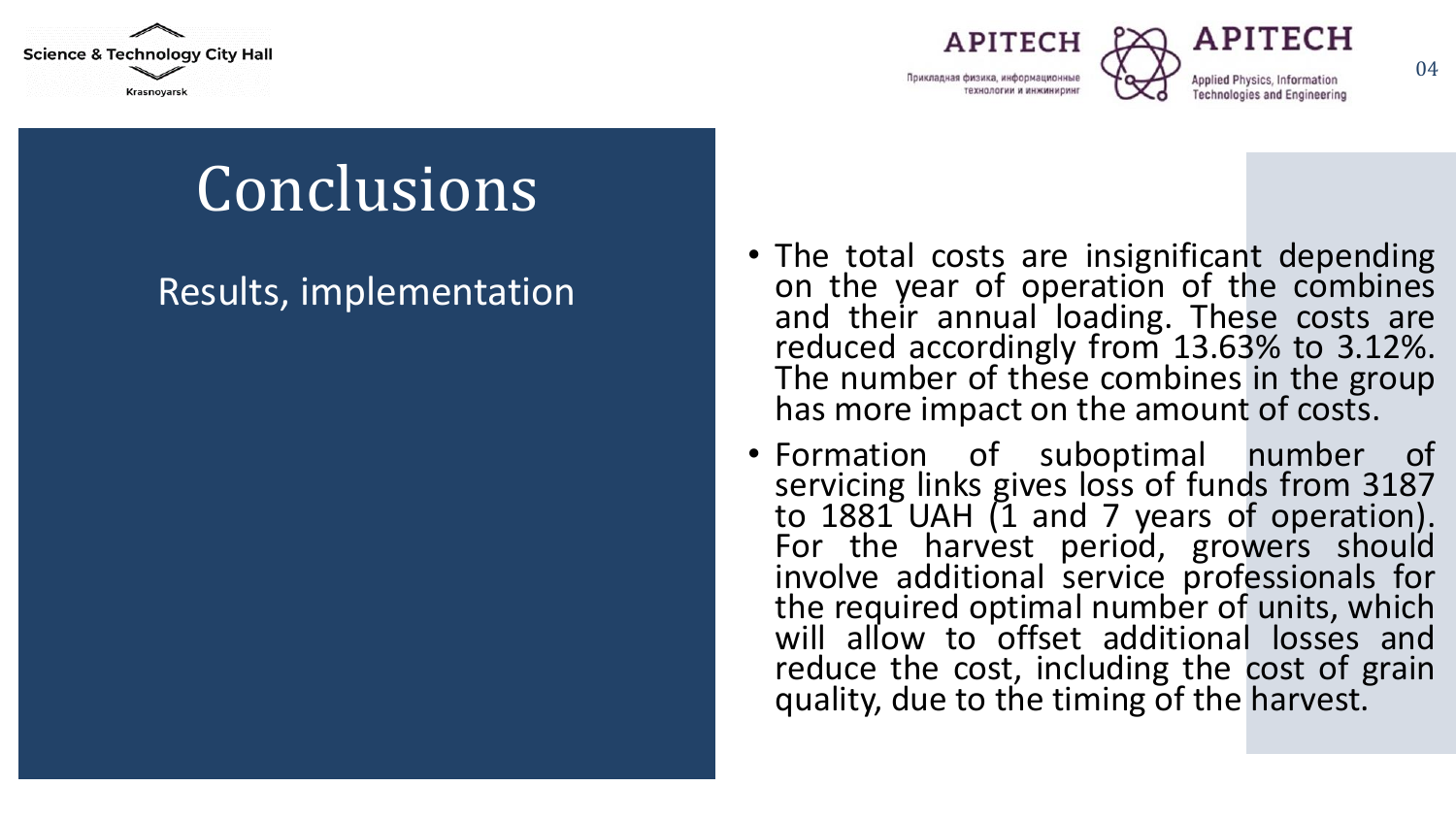





04

Conclusions

#### Results, implementation

- The total costs are insignificant depending on the year of operation of the combines and their annual loading. These costs are reduced accordingly from 13.63% to 3.12%. The number of these combines in the group has more impact on the amount of costs.
- Formation of suboptimal number of servicing links gives loss of funds from 3187 to 1881 UAH (1 and 7 years of operation). For the harvest period, growers should involve additional service professionals for the required optimal number of units, which will allow to offset additional losses and reduce the cost, including the cost of grain quality, due to the timing of the harvest.